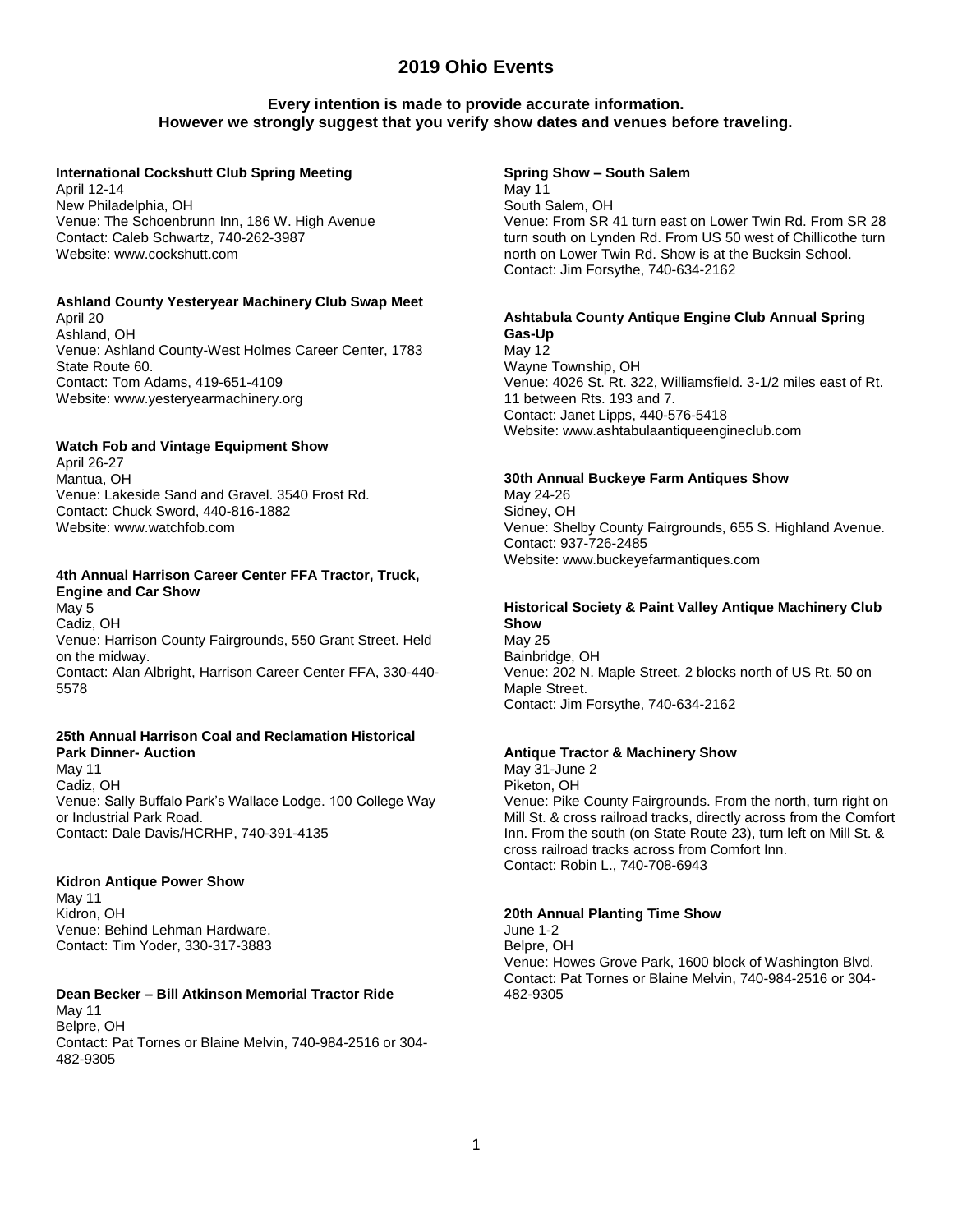# **Every intention is made to provide accurate information. However we strongly suggest that you verify show dates and venues before traveling.**

#### **International Cockshutt Club Spring Meeting**

April 12-14 New Philadelphia, OH Venue: The Schoenbrunn Inn, 186 W. High Avenue Contact: Caleb Schwartz, 740-262-3987 Website: www.cockshutt.com

## **Ashland County Yesteryear Machinery Club Swap Meet**

April 20 Ashland, OH Venue: Ashland County-West Holmes Career Center, 1783 State Route 60. Contact: Tom Adams, 419-651-4109 Website: www.yesteryearmachinery.org

#### **Watch Fob and Vintage Equipment Show**

April 26-27 Mantua, OH Venue: Lakeside Sand and Gravel. 3540 Frost Rd. Contact: Chuck Sword, 440-816-1882 Website: www.watchfob.com

# **4th Annual Harrison Career Center FFA Tractor, Truck, Engine and Car Show**

May 5 Cadiz, OH Venue: Harrison County Fairgrounds, 550 Grant Street. Held on the midway. Contact: Alan Albright, Harrison Career Center FFA, 330-440- 5578

# **25th Annual Harrison Coal and Reclamation Historical Park Dinner- Auction**

May 11 Cadiz, OH Venue: Sally Buffalo Park's Wallace Lodge. 100 College Way or Industrial Park Road. Contact: Dale Davis/HCRHP, 740-391-4135

## **Kidron Antique Power Show**

May 11 Kidron, OH Venue: Behind Lehman Hardware. Contact: Tim Yoder, 330-317-3883

# **Dean Becker – Bill Atkinson Memorial Tractor Ride**

May 11 Belpre, OH Contact: Pat Tornes or Blaine Melvin, 740-984-2516 or 304- 482-9305

## **Spring Show – South Salem**

May 11 South Salem, OH Venue: From SR 41 turn east on Lower Twin Rd. From SR 28 turn south on Lynden Rd. From US 50 west of Chillicothe turn north on Lower Twin Rd. Show is at the Bucksin School. Contact: Jim Forsythe, 740-634-2162

#### **Ashtabula County Antique Engine Club Annual Spring Gas-Up**

May 12 Wayne Township, OH Venue: 4026 St. Rt. 322, Williamsfield. 3-1/2 miles east of Rt. 11 between Rts. 193 and 7. Contact: Janet Lipps, 440-576-5418 Website: www.ashtabulaantiqueengineclub.com

#### **30th Annual Buckeye Farm Antiques Show**

May 24-26 Sidney, OH Venue: Shelby County Fairgrounds, 655 S. Highland Avenue. Contact: 937-726-2485 Website: www.buckeyefarmantiques.com

# **Historical Society & Paint Valley Antique Machinery Club Show**

May 25 Bainbridge, OH Venue: 202 N. Maple Street. 2 blocks north of US Rt. 50 on Maple Street. Contact: Jim Forsythe, 740-634-2162

## **Antique Tractor & Machinery Show**

May 31-June 2 Piketon, OH Venue: Pike County Fairgrounds. From the north, turn right on Mill St. & cross railroad tracks, directly across from the Comfort Inn. From the south (on State Route 23), turn left on Mill St. & cross railroad tracks across from Comfort Inn. Contact: Robin L., 740-708-6943

#### **20th Annual Planting Time Show**

June 1-2 Belpre, OH Venue: Howes Grove Park, 1600 block of Washington Blvd. Contact: Pat Tornes or Blaine Melvin, 740-984-2516 or 304- 482-9305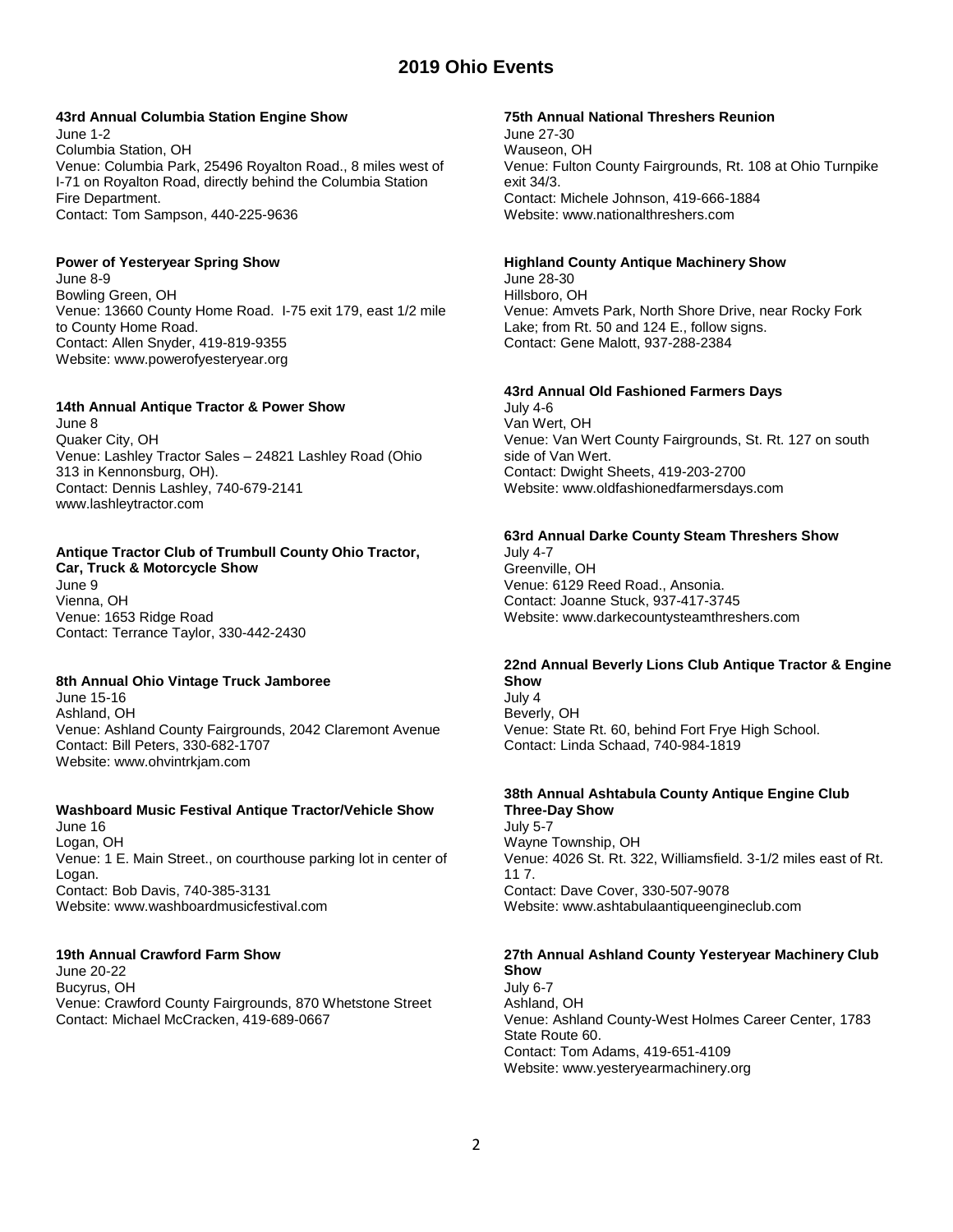# **43rd Annual Columbia Station Engine Show**

June 1-2 Columbia Station, OH Venue: Columbia Park, 25496 Royalton Road., 8 miles west of I-71 on Royalton Road, directly behind the Columbia Station Fire Department. Contact: Tom Sampson, 440-225-9636

## **Power of Yesteryear Spring Show**

June 8-9 Bowling Green, OH Venue: 13660 County Home Road. I-75 exit 179, east 1/2 mile to County Home Road. Contact: Allen Snyder, 419-819-9355 Website: www.powerofyesteryear.org

#### **14th Annual Antique Tractor & Power Show**

June 8 Quaker City, OH Venue: Lashley Tractor Sales – 24821 Lashley Road (Ohio 313 in Kennonsburg, OH). Contact: Dennis Lashley, 740-679-2141 www.lashleytractor.com

# **Antique Tractor Club of Trumbull County Ohio Tractor,**

**Car, Truck & Motorcycle Show** June 9 Vienna, OH Venue: 1653 Ridge Road Contact: Terrance Taylor, 330-442-2430

## **8th Annual Ohio Vintage Truck Jamboree**

June 15-16 Ashland, OH Venue: Ashland County Fairgrounds, 2042 Claremont Avenue Contact: Bill Peters, 330-682-1707 Website: www.ohvintrkjam.com

## **Washboard Music Festival Antique Tractor/Vehicle Show**

June 16 Logan, OH Venue: 1 E. Main Street., on courthouse parking lot in center of Logan. Contact: Bob Davis, 740-385-3131 Website: www.washboardmusicfestival.com

## **19th Annual Crawford Farm Show**

June 20-22 Bucyrus, OH Venue: Crawford County Fairgrounds, 870 Whetstone Street Contact: Michael McCracken, 419-689-0667

#### **75th Annual National Threshers Reunion**

June 27-30 Wauseon, OH Venue: Fulton County Fairgrounds, Rt. 108 at Ohio Turnpike exit 34/3. Contact: Michele Johnson, 419-666-1884 Website: www.nationalthreshers.com

#### **Highland County Antique Machinery Show**

June 28-30 Hillsboro, OH Venue: Amvets Park, North Shore Drive, near Rocky Fork Lake; from Rt. 50 and 124 E., follow signs. Contact: Gene Malott, 937-288-2384

#### **43rd Annual Old Fashioned Farmers Days**

July 4-6 Van Wert, OH Venue: Van Wert County Fairgrounds, St. Rt. 127 on south side of Van Wert. Contact: Dwight Sheets, 419-203-2700 Website: www.oldfashionedfarmersdays.com

## **63rd Annual Darke County Steam Threshers Show**

July 4-7 Greenville, OH Venue: 6129 Reed Road., Ansonia. Contact: Joanne Stuck, 937-417-3745 Website: www.darkecountysteamthreshers.com

# **22nd Annual Beverly Lions Club Antique Tractor & Engine Show**

July 4 Beverly, OH Venue: State Rt. 60, behind Fort Frye High School. Contact: Linda Schaad, 740-984-1819

#### **38th Annual Ashtabula County Antique Engine Club Three-Day Show** July 5-7

Wayne Township, OH Venue: 4026 St. Rt. 322, Williamsfield. 3-1/2 miles east of Rt. 11 7. Contact: Dave Cover, 330-507-9078 Website: www.ashtabulaantiqueengineclub.com

#### **27th Annual Ashland County Yesteryear Machinery Club Show**

July 6-7 Ashland, OH Venue: Ashland County-West Holmes Career Center, 1783 State Route 60. Contact: Tom Adams, 419-651-4109 Website: www.yesteryearmachinery.org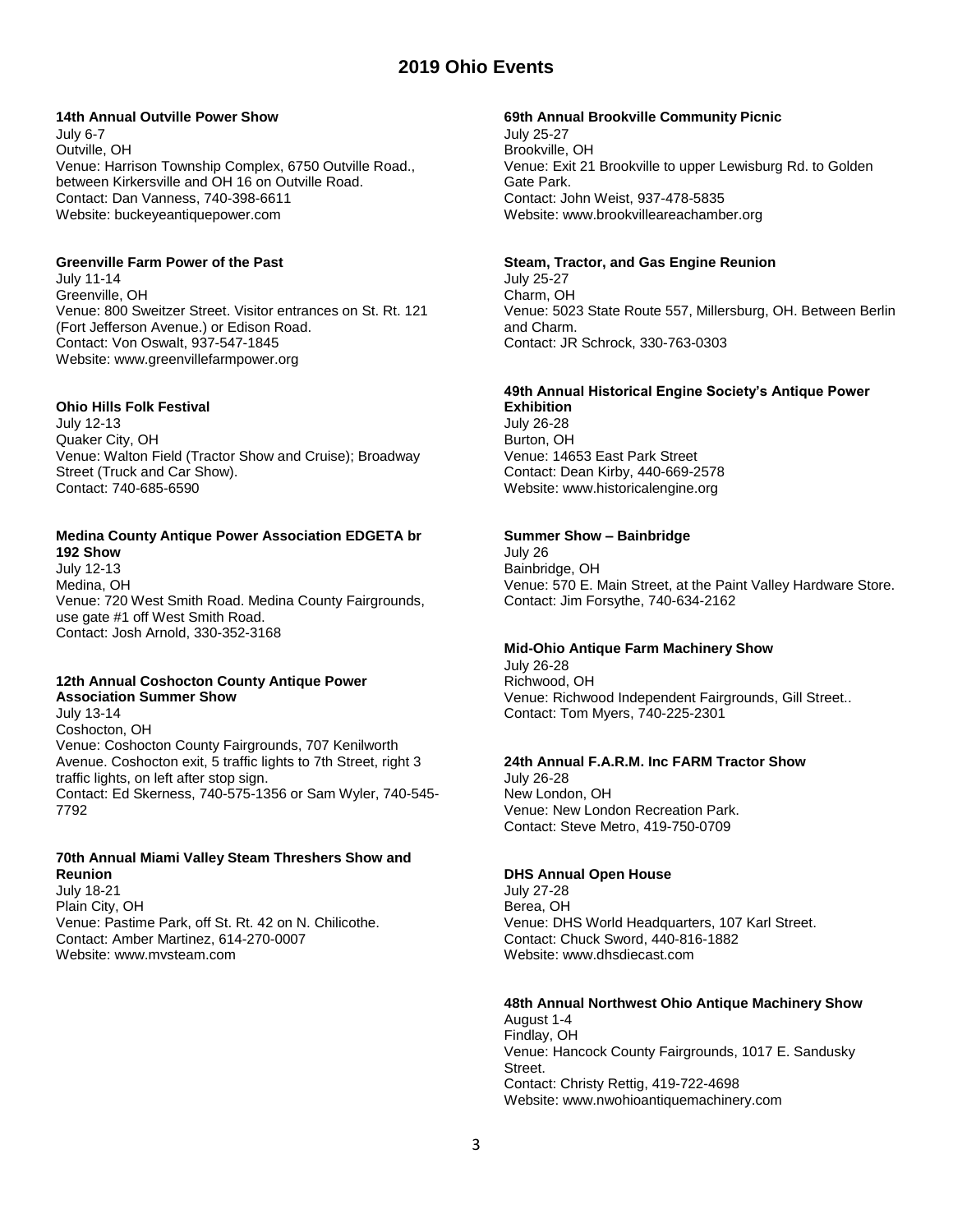## **14th Annual Outville Power Show**

July 6-7 Outville, OH Venue: Harrison Township Complex, 6750 Outville Road., between Kirkersville and OH 16 on Outville Road. Contact: Dan Vanness, 740-398-6611 Website: buckeyeantiquepower.com

## **Greenville Farm Power of the Past**

July 11-14 Greenville, OH Venue: 800 Sweitzer Street. Visitor entrances on St. Rt. 121 (Fort Jefferson Avenue.) or Edison Road. Contact: Von Oswalt, 937-547-1845 Website: www.greenvillefarmpower.org

## **Ohio Hills Folk Festival**

July 12-13 Quaker City, OH Venue: Walton Field (Tractor Show and Cruise); Broadway Street (Truck and Car Show). Contact: 740-685-6590

#### **Medina County Antique Power Association EDGETA br 192 Show**

July 12-13 Medina, OH Venue: 720 West Smith Road. Medina County Fairgrounds, use gate #1 off West Smith Road. Contact: Josh Arnold, 330-352-3168

# **12th Annual Coshocton County Antique Power Association Summer Show**

July 13-14 Coshocton, OH Venue: Coshocton County Fairgrounds, 707 Kenilworth Avenue. Coshocton exit, 5 traffic lights to 7th Street, right 3 traffic lights, on left after stop sign. Contact: Ed Skerness, 740-575-1356 or Sam Wyler, 740-545- 7792

# **70th Annual Miami Valley Steam Threshers Show and Reunion**

July 18-21 Plain City, OH Venue: Pastime Park, off St. Rt. 42 on N. Chilicothe. Contact: Amber Martinez, 614-270-0007 Website: www.mvsteam.com

#### **69th Annual Brookville Community Picnic**

July 25-27 Brookville, OH Venue: Exit 21 Brookville to upper Lewisburg Rd. to Golden Gate Park. Contact: John Weist, 937-478-5835 Website: www.brookvilleareachamber.org

## **Steam, Tractor, and Gas Engine Reunion**

July 25-27 Charm, OH Venue: 5023 State Route 557, Millersburg, OH. Between Berlin and Charm. Contact: JR Schrock, 330-763-0303

# **49th Annual Historical Engine Society's Antique Power**

**Exhibition** July 26-28 Burton, OH Venue: 14653 East Park Street Contact: Dean Kirby, 440-669-2578 Website: www.historicalengine.org

# **Summer Show – Bainbridge**

July 26 Bainbridge, OH Venue: 570 E. Main Street, at the Paint Valley Hardware Store. Contact: Jim Forsythe, 740-634-2162

## **Mid-Ohio Antique Farm Machinery Show**

July 26-28 Richwood, OH Venue: Richwood Independent Fairgrounds, Gill Street.. Contact: Tom Myers, 740-225-2301

## **24th Annual F.A.R.M. Inc FARM Tractor Show**

July 26-28 New London, OH Venue: New London Recreation Park. Contact: Steve Metro, 419-750-0709

## **DHS Annual Open House**

July 27-28 Berea, OH Venue: DHS World Headquarters, 107 Karl Street. Contact: Chuck Sword, 440-816-1882 Website: www.dhsdiecast.com

# **48th Annual Northwest Ohio Antique Machinery Show**

August 1-4 Findlay, OH Venue: Hancock County Fairgrounds, 1017 E. Sandusky Street. Contact: Christy Rettig, 419-722-4698 Website: www.nwohioantiquemachinery.com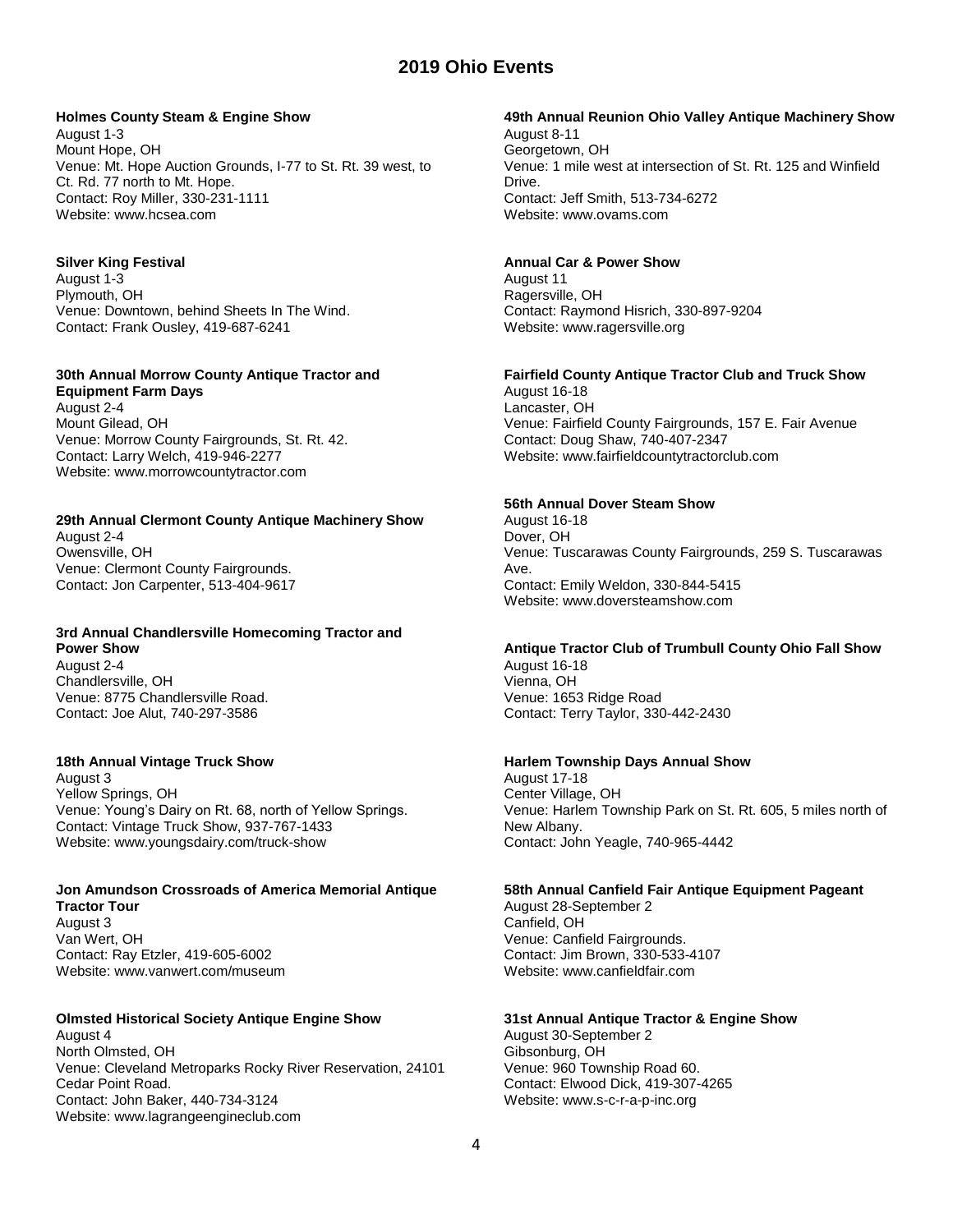## **Holmes County Steam & Engine Show**

August 1-3 Mount Hope, OH Venue: Mt. Hope Auction Grounds, I-77 to St. Rt. 39 west, to Ct. Rd. 77 north to Mt. Hope. Contact: Roy Miller, 330-231-1111 Website: www.hcsea.com

# **Silver King Festival**

August 1-3 Plymouth, OH Venue: Downtown, behind Sheets In The Wind. Contact: Frank Ousley, 419-687-6241

# **30th Annual Morrow County Antique Tractor and Equipment Farm Days**

August 2-4 Mount Gilead, OH Venue: Morrow County Fairgrounds, St. Rt. 42. Contact: Larry Welch, 419-946-2277 Website: www.morrowcountytractor.com

# **29th Annual Clermont County Antique Machinery Show**

August 2-4 Owensville, OH Venue: Clermont County Fairgrounds. Contact: Jon Carpenter, 513-404-9617

#### **3rd Annual Chandlersville Homecoming Tractor and Power Show**

August 2-4 Chandlersville, OH Venue: 8775 Chandlersville Road. Contact: Joe Alut, 740-297-3586

# **18th Annual Vintage Truck Show**

August 3 Yellow Springs, OH Venue: Young's Dairy on Rt. 68, north of Yellow Springs. Contact: Vintage Truck Show, 937-767-1433 Website: www.youngsdairy.com/truck-show

# **Jon Amundson Crossroads of America Memorial Antique Tractor Tour**

August 3 Van Wert, OH Contact: Ray Etzler, 419-605-6002 Website: www.vanwert.com/museum

# **Olmsted Historical Society Antique Engine Show**

August 4 North Olmsted, OH Venue: Cleveland Metroparks Rocky River Reservation, 24101 Cedar Point Road. Contact: John Baker, 440-734-3124 Website: www.lagrangeengineclub.com

# **49th Annual Reunion Ohio Valley Antique Machinery Show**

August 8-11 Georgetown, OH Venue: 1 mile west at intersection of St. Rt. 125 and Winfield Drive. Contact: Jeff Smith, 513-734-6272 Website: www.ovams.com

## **Annual Car & Power Show**

August 11 Ragersville, OH Contact: Raymond Hisrich, 330-897-9204 Website: www.ragersville.org

# **Fairfield County Antique Tractor Club and Truck Show**

August 16-18 Lancaster, OH Venue: Fairfield County Fairgrounds, 157 E. Fair Avenue Contact: Doug Shaw, 740-407-2347 Website: www.fairfieldcountytractorclub.com

## **56th Annual Dover Steam Show**

August 16-18 Dover, OH Venue: Tuscarawas County Fairgrounds, 259 S. Tuscarawas Ave. Contact: Emily Weldon, 330-844-5415 Website: www.doversteamshow.com

# **Antique Tractor Club of Trumbull County Ohio Fall Show**

August 16-18 Vienna, OH Venue: 1653 Ridge Road Contact: Terry Taylor, 330-442-2430

## **Harlem Township Days Annual Show**

August 17-18 Center Village, OH Venue: Harlem Township Park on St. Rt. 605, 5 miles north of New Albany. Contact: John Yeagle, 740-965-4442

## **58th Annual Canfield Fair Antique Equipment Pageant**

August 28-September 2 Canfield, OH Venue: Canfield Fairgrounds. Contact: Jim Brown, 330-533-4107 Website: www.canfieldfair.com

# **31st Annual Antique Tractor & Engine Show**

August 30-September 2 Gibsonburg, OH Venue: 960 Township Road 60. Contact: Elwood Dick, 419-307-4265 Website: www.s-c-r-a-p-inc.org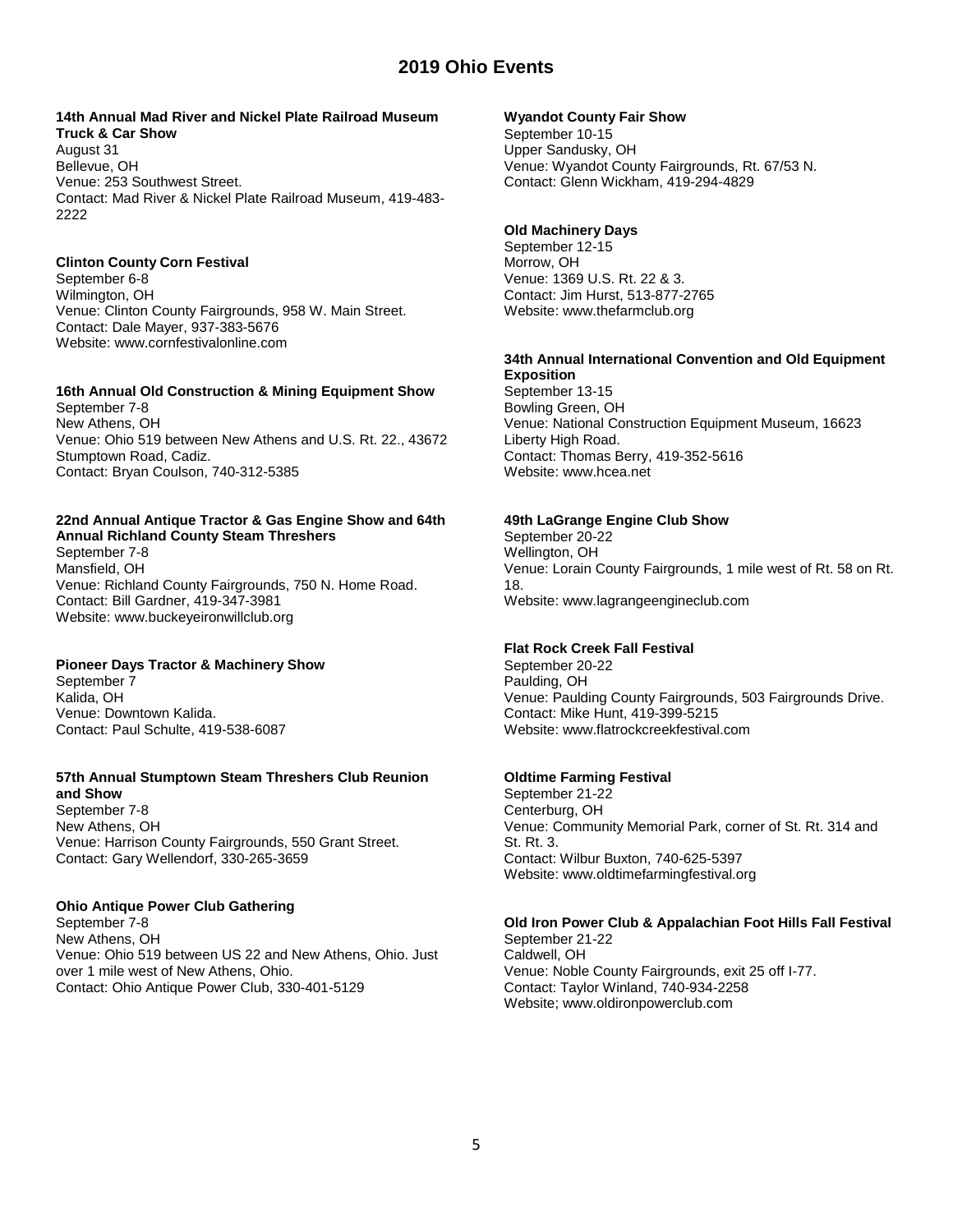#### **14th Annual Mad River and Nickel Plate Railroad Museum Truck & Car Show**

August 31 Bellevue, OH Venue: 253 Southwest Street. Contact: Mad River & Nickel Plate Railroad Museum, 419-483- 2222

# **Clinton County Corn Festival**

September 6-8 Wilmington, OH Venue: Clinton County Fairgrounds, 958 W. Main Street. Contact: Dale Mayer, 937-383-5676 Website: www.cornfestivalonline.com

# **16th Annual Old Construction & Mining Equipment Show**

September 7-8 New Athens, OH Venue: Ohio 519 between New Athens and U.S. Rt. 22., 43672 Stumptown Road, Cadiz. Contact: Bryan Coulson, 740-312-5385

#### **22nd Annual Antique Tractor & Gas Engine Show and 64th Annual Richland County Steam Threshers**

September 7-8 Mansfield, OH Venue: Richland County Fairgrounds, 750 N. Home Road. Contact: Bill Gardner, 419-347-3981 Website: www.buckeyeironwillclub.org

# **Pioneer Days Tractor & Machinery Show**

September 7 Kalida, OH Venue: Downtown Kalida. Contact: Paul Schulte, 419-538-6087

#### **57th Annual Stumptown Steam Threshers Club Reunion and Show**

September 7-8 New Athens, OH Venue: Harrison County Fairgrounds, 550 Grant Street. Contact: Gary Wellendorf, 330-265-3659

# **Ohio Antique Power Club Gathering**

September 7-8 New Athens, OH Venue: Ohio 519 between US 22 and New Athens, Ohio. Just over 1 mile west of New Athens, Ohio. Contact: Ohio Antique Power Club, 330-401-5129

## **Wyandot County Fair Show**

September 10-15 Upper Sandusky, OH Venue: Wyandot County Fairgrounds, Rt. 67/53 N. Contact: Glenn Wickham, 419-294-4829

# **Old Machinery Days**

September 12-15 Morrow, OH Venue: 1369 U.S. Rt. 22 & 3. Contact: Jim Hurst, 513-877-2765 Website: www.thefarmclub.org

#### **34th Annual International Convention and Old Equipment Exposition**

September 13-15 Bowling Green, OH Venue: National Construction Equipment Museum, 16623 Liberty High Road. Contact: Thomas Berry, 419-352-5616 Website: www.hcea.net

# **49th LaGrange Engine Club Show**

September 20-22 Wellington, OH Venue: Lorain County Fairgrounds, 1 mile west of Rt. 58 on Rt. 18. Website: www.lagrangeengineclub.com

# **Flat Rock Creek Fall Festival**

September 20-22 Paulding, OH Venue: Paulding County Fairgrounds, 503 Fairgrounds Drive. Contact: Mike Hunt, 419-399-5215 Website: www.flatrockcreekfestival.com

# **Oldtime Farming Festival**

September 21-22 Centerburg, OH Venue: Community Memorial Park, corner of St. Rt. 314 and St. Rt. 3. Contact: Wilbur Buxton, 740-625-5397 Website: www.oldtimefarmingfestival.org

# **Old Iron Power Club & Appalachian Foot Hills Fall Festival**

September 21-22 Caldwell, OH Venue: Noble County Fairgrounds, exit 25 off I-77. Contact: Taylor Winland, 740-934-2258 Website; www.oldironpowerclub.com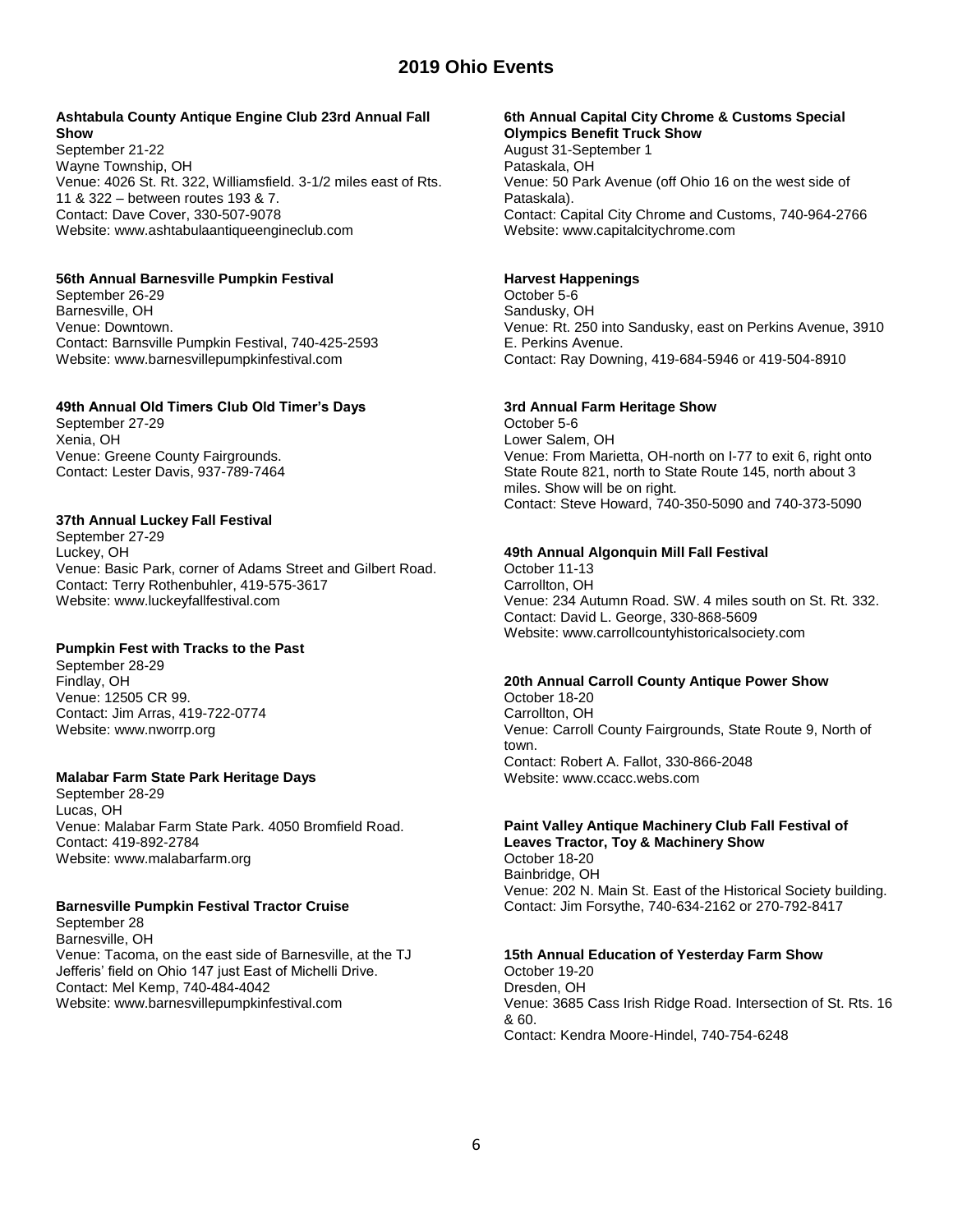## **Ashtabula County Antique Engine Club 23rd Annual Fall Show**

September 21-22 Wayne Township, OH Venue: 4026 St. Rt. 322, Williamsfield. 3-1/2 miles east of Rts. 11 & 322 – between routes 193 & 7. Contact: Dave Cover, 330-507-9078 Website: www.ashtabulaantiqueengineclub.com

# **56th Annual Barnesville Pumpkin Festival**

September 26-29 Barnesville, OH Venue: Downtown. Contact: Barnsville Pumpkin Festival, 740-425-2593 Website: www.barnesvillepumpkinfestival.com

# **49th Annual Old Timers Club Old Timer's Days**

September 27-29 Xenia, OH Venue: Greene County Fairgrounds. Contact: Lester Davis, 937-789-7464

# **37th Annual Luckey Fall Festival**

September 27-29 Luckey, OH Venue: Basic Park, corner of Adams Street and Gilbert Road. Contact: Terry Rothenbuhler, 419-575-3617 Website: www.luckeyfallfestival.com

# **Pumpkin Fest with Tracks to the Past**

September 28-29 Findlay, OH Venue: 12505 CR 99. Contact: Jim Arras, 419-722-0774 Website: www.nworrp.org

# **Malabar Farm State Park Heritage Days**

September 28-29 Lucas, OH Venue: Malabar Farm State Park. 4050 Bromfield Road. Contact: 419-892-2784 Website: www.malabarfarm.org

# **Barnesville Pumpkin Festival Tractor Cruise**

September 28 Barnesville, OH Venue: Tacoma, on the east side of Barnesville, at the TJ Jefferis' field on Ohio 147 just East of Michelli Drive. Contact: Mel Kemp, 740-484-4042 Website: www.barnesvillepumpkinfestival.com

#### **6th Annual Capital City Chrome & Customs Special Olympics Benefit Truck Show**

August 31-September 1 Pataskala, OH Venue: 50 Park Avenue (off Ohio 16 on the west side of Pataskala). Contact: Capital City Chrome and Customs, 740-964-2766 Website: www.capitalcitychrome.com

# **Harvest Happenings**

October 5-6 Sandusky, OH Venue: Rt. 250 into Sandusky, east on Perkins Avenue, 3910 E. Perkins Avenue. Contact: Ray Downing, 419-684-5946 or 419-504-8910

# **3rd Annual Farm Heritage Show**

October 5-6 Lower Salem, OH Venue: From Marietta, OH-north on I-77 to exit 6, right onto State Route 821, north to State Route 145, north about 3 miles. Show will be on right. Contact: Steve Howard, 740-350-5090 and 740-373-5090

# **49th Annual Algonquin Mill Fall Festival**

October 11-13 Carrollton, OH Venue: 234 Autumn Road. SW. 4 miles south on St. Rt. 332. Contact: David L. George, 330-868-5609 Website: www.carrollcountyhistoricalsociety.com

# **20th Annual Carroll County Antique Power Show**

October 18-20 Carrollton, OH Venue: Carroll County Fairgrounds, State Route 9, North of town. Contact: Robert A. Fallot, 330-866-2048 Website: www.ccacc.webs.com

# **Paint Valley Antique Machinery Club Fall Festival of**

**Leaves Tractor, Toy & Machinery Show** October 18-20 Bainbridge, OH Venue: 202 N. Main St. East of the Historical Society building. Contact: Jim Forsythe, 740-634-2162 or 270-792-8417

# **15th Annual Education of Yesterday Farm Show**

October 19-20 Dresden, OH Venue: 3685 Cass Irish Ridge Road. Intersection of St. Rts. 16 & 60. Contact: Kendra Moore-Hindel, 740-754-6248